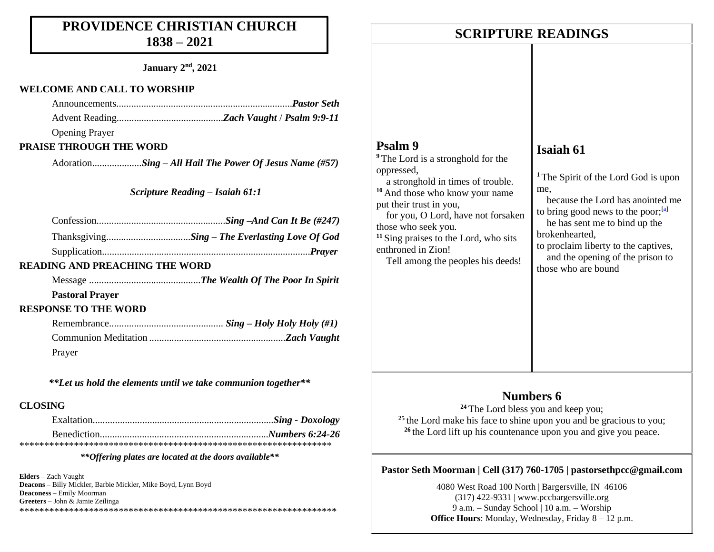# **PROVIDENCE CHRISTIAN CHURCH 1838 – 2021**

**January 2nd, 2021**

### **WELCOME AND CALL TO WORSHIP**

Opening Prayer

## **PRAISE THROUGH THE WORD**

Adoration....................*Sing – All Hail The Power Of Jesus Name (#57)* 

*Scripture Reading – Isaiah 61:1*

# **READING AND PREACHING THE WORD**

Message .............................................*The Wealth Of The Poor In Spirit*

## **Pastoral Prayer**

## **RESPONSE TO THE WORD**

| Prayer |  |
|--------|--|

*\*\*Let us hold the elements until we take communion together\*\**

# **CLOSING**

*\*\*Offering plates are located at the doors available\*\**

**Elders –** Zach Vaught **Deacons –** Billy Mickler, Barbie Mickler, Mike Boyd, Lynn Boyd **Deaconess –** Emily Moorman **Greeters –** John & Jamie Zeilinga \*\*\*\*\*\*\*\*\*\*\*\*\*\*\*\*\*\*\*\*\*\*\*\*\*\*\*\*\*\*\*\*\*\*\*\*\*\*\*\*\*\*\*\*\*\*\*\*\*\*\*\*\*\*\*\*\*\*\*\*\*\*\*\*

# **Numbers 6**

**<sup>24</sup>** The Lord bless you and keep you;

<sup>25</sup> the Lord make his face to shine upon you and be gracious to you; <sup>26</sup> the Lord lift up his countenance upon you and give you peace.

# **Pastor Seth Moorman | Cell (317) 760-1705 | pastorsethpcc@gmail.com**

4080 West Road 100 North | Bargersville, IN 46106 (317) 422-9331 | www.pccbargersville.org 9 a.m. – Sunday School | 10 a.m. – Worship **Office Hours**: Monday, Wednesday, Friday 8 – 12 p.m.